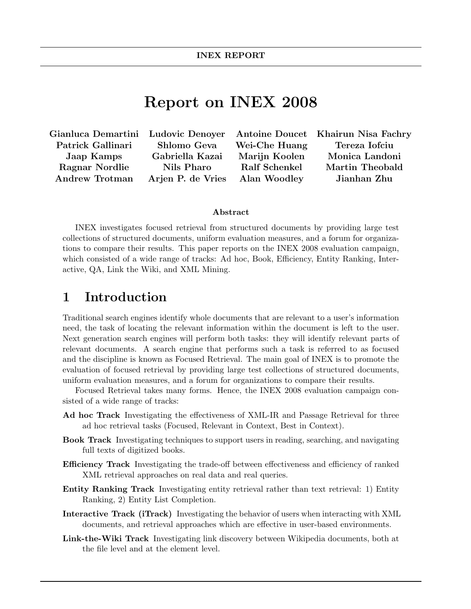# Report on INEX 2008

Gianluca Demartini Ludovic Denoyer Antoine Doucet Khairun Nisa Fachry Patrick Gallinari Shlomo Geva Wei-Che Huang Tereza Iofciu Andrew Trotman Arjen P. de Vries Alan Woodley Jianhan Zhu

Jaap Kamps Gabriella Kazai Marijn Koolen Monica Landoni Ragnar Nordlie Nils Pharo Ralf Schenkel Martin Theobald

#### Abstract

INEX investigates focused retrieval from structured documents by providing large test collections of structured documents, uniform evaluation measures, and a forum for organizations to compare their results. This paper reports on the INEX 2008 evaluation campaign, which consisted of a wide range of tracks: Ad hoc, Book, Efficiency, Entity Ranking, Interactive, QA, Link the Wiki, and XML Mining.

### 1 Introduction

Traditional search engines identify whole documents that are relevant to a user's information need, the task of locating the relevant information within the document is left to the user. Next generation search engines will perform both tasks: they will identify relevant parts of relevant documents. A search engine that performs such a task is referred to as focused and the discipline is known as Focused Retrieval. The main goal of INEX is to promote the evaluation of focused retrieval by providing large test collections of structured documents, uniform evaluation measures, and a forum for organizations to compare their results.

Focused Retrieval takes many forms. Hence, the INEX 2008 evaluation campaign consisted of a wide range of tracks:

- Ad hoc Track Investigating the effectiveness of XML-IR and Passage Retrieval for three ad hoc retrieval tasks (Focused, Relevant in Context, Best in Context).
- Book Track Investigating techniques to support users in reading, searching, and navigating full texts of digitized books.
- Efficiency Track Investigating the trade-off between effectiveness and efficiency of ranked XML retrieval approaches on real data and real queries.
- Entity Ranking Track Investigating entity retrieval rather than text retrieval: 1) Entity Ranking, 2) Entity List Completion.
- Interactive Track (iTrack) Investigating the behavior of users when interacting with XML documents, and retrieval approaches which are effective in user-based environments.
- Link-the-Wiki Track Investigating link discovery between Wikipedia documents, both at the file level and at the element level.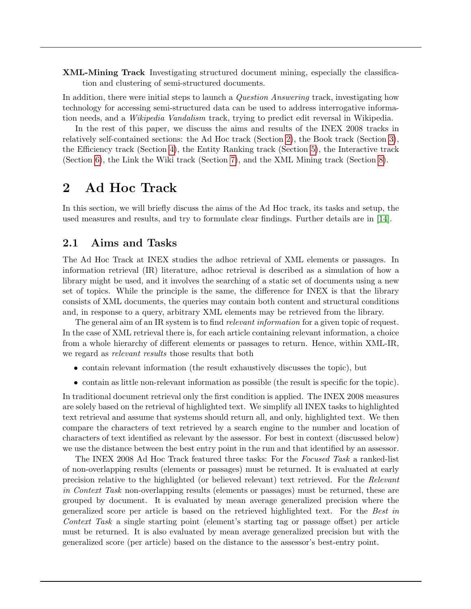XML-Mining Track Investigating structured document mining, especially the classification and clustering of semi-structured documents.

In addition, there were initial steps to launch a *Question Answering* track, investigating how technology for accessing semi-structured data can be used to address interrogative information needs, and a Wikipedia Vandalism track, trying to predict edit reversal in Wikipedia.

In the rest of this paper, we discuss the aims and results of the INEX 2008 tracks in relatively self-contained sections: the Ad Hoc track (Section [2\)](#page-1-0), the Book track (Section [3\)](#page-3-0), the Efficiency track (Section [4\)](#page-6-0), the Entity Ranking track (Section [5\)](#page-9-0), the Interactive track (Section [6\)](#page-10-0), the Link the Wiki track (Section [7\)](#page-13-0), and the XML Mining track (Section [8\)](#page-15-0).

## <span id="page-1-0"></span>2 Ad Hoc Track

In this section, we will briefly discuss the aims of the Ad Hoc track, its tasks and setup, the used measures and results, and try to formulate clear findings. Further details are in [\[14\]](#page-19-0).

#### 2.1 Aims and Tasks

The Ad Hoc Track at INEX studies the adhoc retrieval of XML elements or passages. In information retrieval (IR) literature, adhoc retrieval is described as a simulation of how a library might be used, and it involves the searching of a static set of documents using a new set of topics. While the principle is the same, the difference for INEX is that the library consists of XML documents, the queries may contain both content and structural conditions and, in response to a query, arbitrary XML elements may be retrieved from the library.

The general aim of an IR system is to find *relevant information* for a given topic of request. In the case of XML retrieval there is, for each article containing relevant information, a choice from a whole hierarchy of different elements or passages to return. Hence, within XML-IR, we regard as relevant results those results that both

- contain relevant information (the result exhaustively discusses the topic), but
- contain as little non-relevant information as possible (the result is specific for the topic).

In traditional document retrieval only the first condition is applied. The INEX 2008 measures are solely based on the retrieval of highlighted text. We simplify all INEX tasks to highlighted text retrieval and assume that systems should return all, and only, highlighted text. We then compare the characters of text retrieved by a search engine to the number and location of characters of text identified as relevant by the assessor. For best in context (discussed below) we use the distance between the best entry point in the run and that identified by an assessor.

The INEX 2008 Ad Hoc Track featured three tasks: For the Focused Task a ranked-list of non-overlapping results (elements or passages) must be returned. It is evaluated at early precision relative to the highlighted (or believed relevant) text retrieved. For the Relevant in Context Task non-overlapping results (elements or passages) must be returned, these are grouped by document. It is evaluated by mean average generalized precision where the generalized score per article is based on the retrieved highlighted text. For the Best in Context Task a single starting point (element's starting tag or passage offset) per article must be returned. It is also evaluated by mean average generalized precision but with the generalized score (per article) based on the distance to the assessor's best-entry point.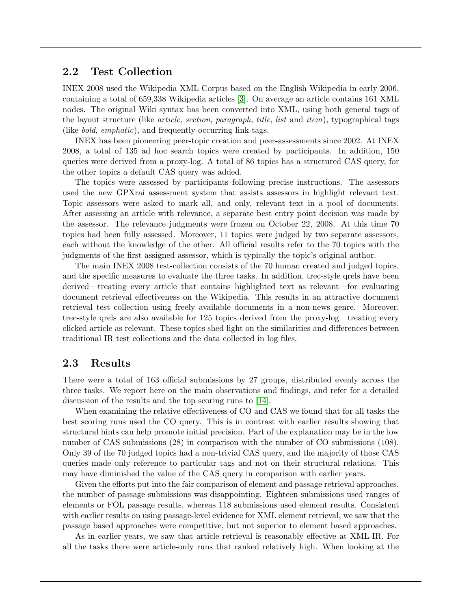### 2.2 Test Collection

INEX 2008 used the Wikipedia XML Corpus based on the English Wikipedia in early 2006, containing a total of 659,338 Wikipedia articles [\[3\]](#page-18-0). On average an article contains 161 XML nodes. The original Wiki syntax has been converted into XML, using both general tags of the layout structure (like *article, section, paragraph, title, list* and *item*), typographical tags (like bold, emphatic), and frequently occurring link-tags.

INEX has been pioneering peer-topic creation and peer-assessments since 2002. At INEX 2008, a total of 135 ad hoc search topics were created by participants. In addition, 150 queries were derived from a proxy-log. A total of 86 topics has a structured CAS query, for the other topics a default CAS query was added.

The topics were assessed by participants following precise instructions. The assessors used the new GPXrai assessment system that assists assessors in highlight relevant text. Topic assessors were asked to mark all, and only, relevant text in a pool of documents. After assessing an article with relevance, a separate best entry point decision was made by the assessor. The relevance judgments were frozen on October 22, 2008. At this time 70 topics had been fully assessed. Moreover, 11 topics were judged by two separate assessors, each without the knowledge of the other. All official results refer to the 70 topics with the judgments of the first assigned assessor, which is typically the topic's original author.

The main INEX 2008 test-collection consists of the 70 human created and judged topics, and the specific measures to evaluate the three tasks. In addition, trec-style qrels have been derived—treating every article that contains highlighted text as relevant—for evaluating document retrieval effectiveness on the Wikipedia. This results in an attractive document retrieval test collection using freely available documents in a non-news genre. Moreover, trec-style qrels are also available for 125 topics derived from the proxy-log—treating every clicked article as relevant. These topics shed light on the similarities and differences between traditional IR test collections and the data collected in log files.

#### 2.3 Results

There were a total of 163 official submissions by 27 groups, distributed evenly across the three tasks. We report here on the main observations and findings, and refer for a detailed discussion of the results and the top scoring runs to [\[14\]](#page-19-0).

When examining the relative effectiveness of CO and CAS we found that for all tasks the best scoring runs used the CO query. This is in contrast with earlier results showing that structural hints can help promote initial precision. Part of the explanation may be in the low number of CAS submissions (28) in comparison with the number of CO submissions (108). Only 39 of the 70 judged topics had a non-trivial CAS query, and the majority of those CAS queries made only reference to particular tags and not on their structural relations. This may have diminished the value of the CAS query in comparison with earlier years.

Given the efforts put into the fair comparison of element and passage retrieval approaches, the number of passage submissions was disappointing. Eighteen submissions used ranges of elements or FOL passage results, whereas 118 submissions used element results. Consistent with earlier results on using passage-level evidence for XML element retrieval, we saw that the passage based approaches were competitive, but not superior to element based approaches.

As in earlier years, we saw that article retrieval is reasonably effective at XML-IR. For all the tasks there were article-only runs that ranked relatively high. When looking at the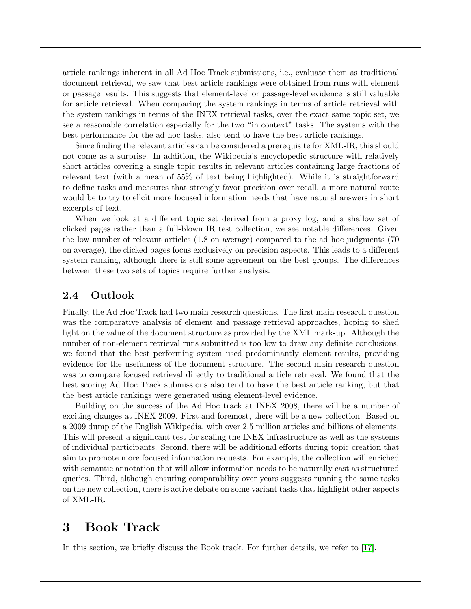article rankings inherent in all Ad Hoc Track submissions, i.e., evaluate them as traditional document retrieval, we saw that best article rankings were obtained from runs with element or passage results. This suggests that element-level or passage-level evidence is still valuable for article retrieval. When comparing the system rankings in terms of article retrieval with the system rankings in terms of the INEX retrieval tasks, over the exact same topic set, we see a reasonable correlation especially for the two "in context" tasks. The systems with the best performance for the ad hoc tasks, also tend to have the best article rankings.

Since finding the relevant articles can be considered a prerequisite for XML-IR, this should not come as a surprise. In addition, the Wikipedia's encyclopedic structure with relatively short articles covering a single topic results in relevant articles containing large fractions of relevant text (with a mean of 55% of text being highlighted). While it is straightforward to define tasks and measures that strongly favor precision over recall, a more natural route would be to try to elicit more focused information needs that have natural answers in short excerpts of text.

When we look at a different topic set derived from a proxy log, and a shallow set of clicked pages rather than a full-blown IR test collection, we see notable differences. Given the low number of relevant articles (1.8 on average) compared to the ad hoc judgments (70 on average), the clicked pages focus exclusively on precision aspects. This leads to a different system ranking, although there is still some agreement on the best groups. The differences between these two sets of topics require further analysis.

### 2.4 Outlook

Finally, the Ad Hoc Track had two main research questions. The first main research question was the comparative analysis of element and passage retrieval approaches, hoping to shed light on the value of the document structure as provided by the XML mark-up. Although the number of non-element retrieval runs submitted is too low to draw any definite conclusions, we found that the best performing system used predominantly element results, providing evidence for the usefulness of the document structure. The second main research question was to compare focused retrieval directly to traditional article retrieval. We found that the best scoring Ad Hoc Track submissions also tend to have the best article ranking, but that the best article rankings were generated using element-level evidence.

Building on the success of the Ad Hoc track at INEX 2008, there will be a number of exciting changes at INEX 2009. First and foremost, there will be a new collection. Based on a 2009 dump of the English Wikipedia, with over 2.5 million articles and billions of elements. This will present a significant test for scaling the INEX infrastructure as well as the systems of individual participants. Second, there will be additional efforts during topic creation that aim to promote more focused information requests. For example, the collection will enriched with semantic annotation that will allow information needs to be naturally cast as structured queries. Third, although ensuring comparability over years suggests running the same tasks on the new collection, there is active debate on some variant tasks that highlight other aspects of XML-IR.

### <span id="page-3-0"></span>3 Book Track

In this section, we briefly discuss the Book track. For further details, we refer to [\[17\]](#page-19-1).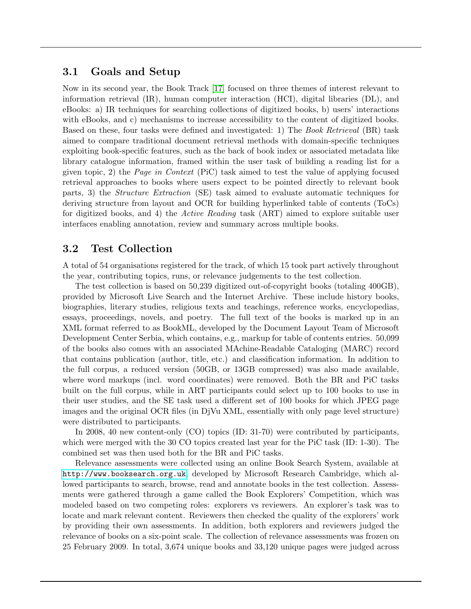#### 3.1 Goals and Setup

Now in its second year, the Book Track [\[17\]](#page-19-1) focused on three themes of interest relevant to information retrieval (IR), human computer interaction (HCI), digital libraries (DL), and eBooks: a) IR techniques for searching collections of digitized books, b) users' interactions with eBooks, and c) mechanisms to increase accessibility to the content of digitized books. Based on these, four tasks were defined and investigated: 1) The Book Retrieval (BR) task aimed to compare traditional document retrieval methods with domain-specific techniques exploiting book-specific features, such as the back of book index or associated metadata like library catalogue information, framed within the user task of building a reading list for a given topic, 2) the Page in Context (PiC) task aimed to test the value of applying focused retrieval approaches to books where users expect to be pointed directly to relevant book parts, 3) the Structure Extraction (SE) task aimed to evaluate automatic techniques for deriving structure from layout and OCR for building hyperlinked table of contents (ToCs) for digitized books, and 4) the *Active Reading* task (ART) aimed to explore suitable user interfaces enabling annotation, review and summary across multiple books.

#### 3.2 Test Collection

A total of 54 organisations registered for the track, of which 15 took part actively throughout the year, contributing topics, runs, or relevance judgements to the test collection.

The test collection is based on 50,239 digitized out-of-copyright books (totaling 400GB), provided by Microsoft Live Search and the Internet Archive. These include history books, biographies, literary studies, religious texts and teachings, reference works, encyclopedias, essays, proceedings, novels, and poetry. The full text of the books is marked up in an XML format referred to as BookML, developed by the Document Layout Team of Microsoft Development Center Serbia, which contains, e.g., markup for table of contents entries. 50,099 of the books also comes with an associated MAchine-Readable Cataloging (MARC) record that contains publication (author, title, etc.) and classification information. In addition to the full corpus, a reduced version (50GB, or 13GB compressed) was also made available, where word markups (incl. word coordinates) were removed. Both the BR and PiC tasks built on the full corpus, while in ART participants could select up to 100 books to use in their user studies, and the SE task used a different set of 100 books for which JPEG page images and the original OCR files (in DjVu XML, essentially with only page level structure) were distributed to participants.

In 2008, 40 new content-only (CO) topics (ID: 31-70) were contributed by participants, which were merged with the 30 CO topics created last year for the PiC task (ID: 1-30). The combined set was then used both for the BR and PiC tasks.

Relevance assessments were collected using an online Book Search System, available at <http://www.booksearch.org.uk>, developed by Microsoft Research Cambridge, which allowed participants to search, browse, read and annotate books in the test collection. Assessments were gathered through a game called the Book Explorers' Competition, which was modeled based on two competing roles: explorers vs reviewers. An explorer's task was to locate and mark relevant content. Reviewers then checked the quality of the explorers' work by providing their own assessments. In addition, both explorers and reviewers judged the relevance of books on a six-point scale. The collection of relevance assessments was frozen on 25 February 2009. In total, 3,674 unique books and 33,120 unique pages were judged across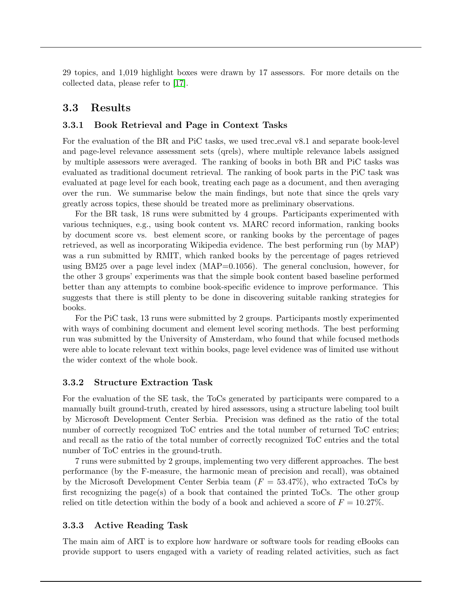29 topics, and 1,019 highlight boxes were drawn by 17 assessors. For more details on the collected data, please refer to [\[17\]](#page-19-1).

#### 3.3 Results

#### 3.3.1 Book Retrieval and Page in Context Tasks

For the evaluation of the BR and PiC tasks, we used trec eval v8.1 and separate book-level and page-level relevance assessment sets (qrels), where multiple relevance labels assigned by multiple assessors were averaged. The ranking of books in both BR and PiC tasks was evaluated as traditional document retrieval. The ranking of book parts in the PiC task was evaluated at page level for each book, treating each page as a document, and then averaging over the run. We summarise below the main findings, but note that since the qrels vary greatly across topics, these should be treated more as preliminary observations.

For the BR task, 18 runs were submitted by 4 groups. Participants experimented with various techniques, e.g., using book content vs. MARC record information, ranking books by document score vs. best element score, or ranking books by the percentage of pages retrieved, as well as incorporating Wikipedia evidence. The best performing run (by MAP) was a run submitted by RMIT, which ranked books by the percentage of pages retrieved using BM25 over a page level index (MAP=0.1056). The general conclusion, however, for the other 3 groups' experiments was that the simple book content based baseline performed better than any attempts to combine book-specific evidence to improve performance. This suggests that there is still plenty to be done in discovering suitable ranking strategies for books.

For the PiC task, 13 runs were submitted by 2 groups. Participants mostly experimented with ways of combining document and element level scoring methods. The best performing run was submitted by the University of Amsterdam, who found that while focused methods were able to locate relevant text within books, page level evidence was of limited use without the wider context of the whole book.

#### 3.3.2 Structure Extraction Task

For the evaluation of the SE task, the ToCs generated by participants were compared to a manually built ground-truth, created by hired assessors, using a structure labeling tool built by Microsoft Development Center Serbia. Precision was defined as the ratio of the total number of correctly recognized ToC entries and the total number of returned ToC entries; and recall as the ratio of the total number of correctly recognized ToC entries and the total number of ToC entries in the ground-truth.

7 runs were submitted by 2 groups, implementing two very different approaches. The best performance (by the F-measure, the harmonic mean of precision and recall), was obtained by the Microsoft Development Center Serbia team  $(F = 53.47\%)$ , who extracted ToCs by first recognizing the page(s) of a book that contained the printed ToCs. The other group relied on title detection within the body of a book and achieved a score of  $F = 10.27\%$ .

#### 3.3.3 Active Reading Task

The main aim of ART is to explore how hardware or software tools for reading eBooks can provide support to users engaged with a variety of reading related activities, such as fact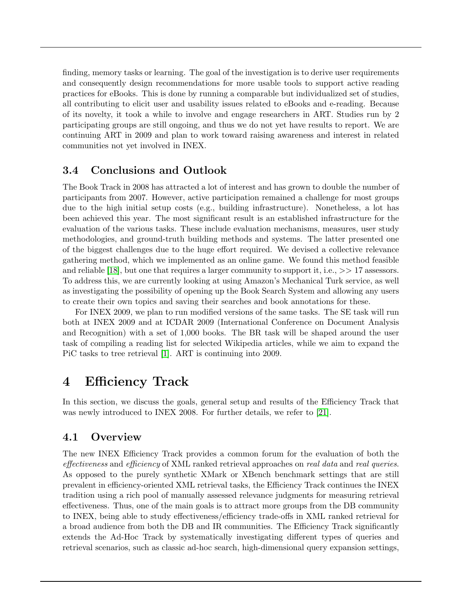finding, memory tasks or learning. The goal of the investigation is to derive user requirements and consequently design recommendations for more usable tools to support active reading practices for eBooks. This is done by running a comparable but individualized set of studies, all contributing to elicit user and usability issues related to eBooks and e-reading. Because of its novelty, it took a while to involve and engage researchers in ART. Studies run by 2 participating groups are still ongoing, and thus we do not yet have results to report. We are continuing ART in 2009 and plan to work toward raising awareness and interest in related communities not yet involved in INEX.

### 3.4 Conclusions and Outlook

The Book Track in 2008 has attracted a lot of interest and has grown to double the number of participants from 2007. However, active participation remained a challenge for most groups due to the high initial setup costs (e.g., building infrastructure). Nonetheless, a lot has been achieved this year. The most significant result is an established infrastructure for the evaluation of the various tasks. These include evaluation mechanisms, measures, user study methodologies, and ground-truth building methods and systems. The latter presented one of the biggest challenges due to the huge effort required. We devised a collective relevance gathering method, which we implemented as an online game. We found this method feasible and reliable [\[18\]](#page-19-2), but one that requires a larger community to support it, i.e.,  $\gg$  17 assessors. To address this, we are currently looking at using Amazon's Mechanical Turk service, as well as investigating the possibility of opening up the Book Search System and allowing any users to create their own topics and saving their searches and book annotations for these.

For INEX 2009, we plan to run modified versions of the same tasks. The SE task will run both at INEX 2009 and at ICDAR 2009 (International Conference on Document Analysis and Recognition) with a set of 1,000 books. The BR task will be shaped around the user task of compiling a reading list for selected Wikipedia articles, while we aim to expand the PiC tasks to tree retrieval [\[1\]](#page-18-1). ART is continuing into 2009.

## <span id="page-6-0"></span>4 Efficiency Track

In this section, we discuss the goals, general setup and results of the Efficiency Track that was newly introduced to INEX 2008. For further details, we refer to [\[21\]](#page-19-3).

### 4.1 Overview

The new INEX Efficiency Track provides a common forum for the evaluation of both the effectiveness and efficiency of XML ranked retrieval approaches on real data and real queries. As opposed to the purely synthetic XMark or XBench benchmark settings that are still prevalent in efficiency-oriented XML retrieval tasks, the Efficiency Track continues the INEX tradition using a rich pool of manually assessed relevance judgments for measuring retrieval effectiveness. Thus, one of the main goals is to attract more groups from the DB community to INEX, being able to study effectiveness/efficiency trade-offs in XML ranked retrieval for a broad audience from both the DB and IR communities. The Efficiency Track significantly extends the Ad-Hoc Track by systematically investigating different types of queries and retrieval scenarios, such as classic ad-hoc search, high-dimensional query expansion settings,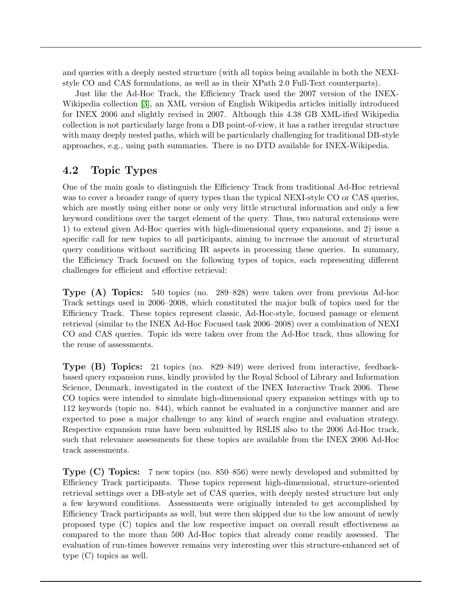and queries with a deeply nested structure (with all topics being available in both the NEXIstyle CO and CAS formulations, as well as in their XPath 2.0 Full-Text counterparts).

Just like the Ad-Hoc Track, the Efficiency Track used the 2007 version of the INEX-Wikipedia collection [\[3\]](#page-18-0), an XML version of English Wikipedia articles initially introduced for INEX 2006 and slightly revised in 2007. Although this 4.38 GB XML-ified Wikipedia collection is not particularly large from a DB point-of-view, it has a rather irregular structure with many deeply nested paths, which will be particularly challenging for traditional DB-style approaches, e.g., using path summaries. There is no DTD available for INEX-Wikipedia.

### 4.2 Topic Types

One of the main goals to distinguish the Efficiency Track from traditional Ad-Hoc retrieval was to cover a broader range of query types than the typical NEXI-style CO or CAS queries, which are mostly using either none or only very little structural information and only a few keyword conditions over the target element of the query. Thus, two natural extensions were 1) to extend given Ad-Hoc queries with high-dimensional query expansions, and 2) issue a specific call for new topics to all participants, aiming to increase the amount of structural query conditions without sacrificing IR aspects in processing these queries. In summary, the Efficiency Track focused on the following types of topics, each representing different challenges for efficient and effective retrieval:

Type (A) Topics: 540 topics (no. 289–828) were taken over from previous Ad-hoc Track settings used in 2006–2008, which constituted the major bulk of topics used for the Efficiency Track. These topics represent classic, Ad-Hoc-style, focused passage or element retrieval (similar to the INEX Ad-Hoc Focused task 2006–2008) over a combination of NEXI CO and CAS queries. Topic ids were taken over from the Ad-Hoc track, thus allowing for the reuse of assessments.

Type (B) Topics: 21 topics (no. 829–849) were derived from interactive, feedbackbased query expansion runs, kindly provided by the Royal School of Library and Information Science, Denmark, investigated in the context of the INEX Interactive Track 2006. These CO topics were intended to simulate high-dimensional query expansion settings with up to 112 keywords (topic no. 844), which cannot be evaluated in a conjunctive manner and are expected to pose a major challenge to any kind of search engine and evaluation strategy. Respective expansion runs have been submitted by RSLIS also to the 2006 Ad-Hoc track, such that relevance assessments for these topics are available from the INEX 2006 Ad-Hoc track assessments.

Type (C) Topics: 7 new topics (no. 850–856) were newly developed and submitted by Efficiency Track participants. These topics represent high-dimensional, structure-oriented retrieval settings over a DB-style set of CAS queries, with deeply nested structure but only a few keyword conditions. Assessments were originally intended to get accomplished by Efficiency Track participants as well, but were then skipped due to the low amount of newly proposed type (C) topics and the low respective impact on overall result effectiveness as compared to the more than 500 Ad-Hoc topics that already come readily assessed. The evaluation of run-times however remains very interesting over this structure-enhanced set of type (C) topics as well.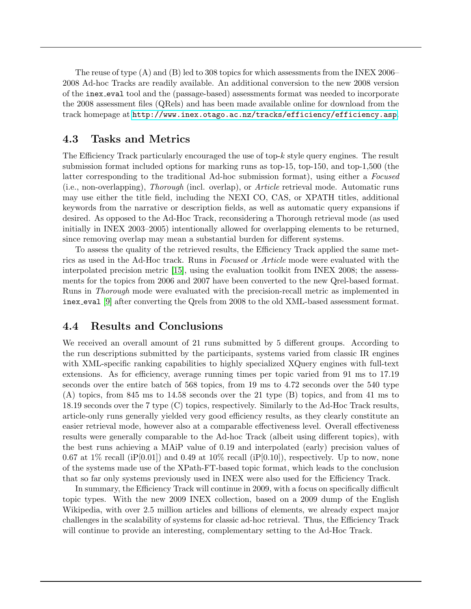The reuse of type (A) and (B) led to 308 topics for which assessments from the INEX 2006– 2008 Ad-hoc Tracks are readily available. An additional conversion to the new 2008 version of the inex eval tool and the (passage-based) assessments format was needed to incorporate the 2008 assessment files (QRels) and has been made available online for download from the track homepage at <http://www.inex.otago.ac.nz/tracks/efficiency/efficiency.asp>.

#### 4.3 Tasks and Metrics

The Efficiency Track particularly encouraged the use of top-k style query engines. The result submission format included options for marking runs as top-15, top-150, and top-1,500 (the latter corresponding to the traditional Ad-hoc submission format), using either a Focused (i.e., non-overlapping), Thorough (incl. overlap), or Article retrieval mode. Automatic runs may use either the title field, including the NEXI CO, CAS, or XPATH titles, additional keywords from the narrative or description fields, as well as automatic query expansions if desired. As opposed to the Ad-Hoc Track, reconsidering a Thorough retrieval mode (as used initially in INEX 2003–2005) intentionally allowed for overlapping elements to be returned, since removing overlap may mean a substantial burden for different systems.

To assess the quality of the retrieved results, the Efficiency Track applied the same metrics as used in the Ad-Hoc track. Runs in Focused or Article mode were evaluated with the interpolated precision metric [\[15\]](#page-19-4), using the evaluation toolkit from INEX 2008; the assessments for the topics from 2006 and 2007 have been converted to the new Qrel-based format. Runs in *Thorough* mode were evaluated with the precision-recall metric as implemented in inex eval [\[9\]](#page-18-2) after converting the Qrels from 2008 to the old XML-based assessment format.

### 4.4 Results and Conclusions

We received an overall amount of 21 runs submitted by 5 different groups. According to the run descriptions submitted by the participants, systems varied from classic IR engines with XML-specific ranking capabilities to highly specialized XQuery engines with full-text extensions. As for efficiency, average running times per topic varied from 91 ms to 17.19 seconds over the entire batch of 568 topics, from 19 ms to 4.72 seconds over the 540 type (A) topics, from 845 ms to 14.58 seconds over the 21 type (B) topics, and from 41 ms to 18.19 seconds over the 7 type (C) topics, respectively. Similarly to the Ad-Hoc Track results, article-only runs generally yielded very good efficiency results, as they clearly constitute an easier retrieval mode, however also at a comparable effectiveness level. Overall effectiveness results were generally comparable to the Ad-hoc Track (albeit using different topics), with the best runs achieving a MAiP value of 0.19 and interpolated (early) precision values of 0.67 at 1% recall (iP[0.01]) and 0.49 at 10% recall (iP[0.10]), respectively. Up to now, none of the systems made use of the XPath-FT-based topic format, which leads to the conclusion that so far only systems previously used in INEX were also used for the Efficiency Track.

In summary, the Efficiency Track will continue in 2009, with a focus on specifically difficult topic types. With the new 2009 INEX collection, based on a 2009 dump of the English Wikipedia, with over 2.5 million articles and billions of elements, we already expect major challenges in the scalability of systems for classic ad-hoc retrieval. Thus, the Efficiency Track will continue to provide an interesting, complementary setting to the Ad-Hoc Track.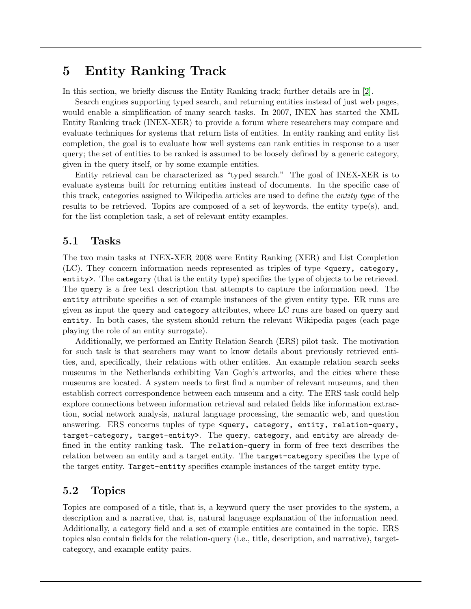## <span id="page-9-0"></span>5 Entity Ranking Track

In this section, we briefly discuss the Entity Ranking track; further details are in [\[2\]](#page-18-3).

Search engines supporting typed search, and returning entities instead of just web pages, would enable a simplification of many search tasks. In 2007, INEX has started the XML Entity Ranking track (INEX-XER) to provide a forum where researchers may compare and evaluate techniques for systems that return lists of entities. In entity ranking and entity list completion, the goal is to evaluate how well systems can rank entities in response to a user query; the set of entities to be ranked is assumed to be loosely defined by a generic category, given in the query itself, or by some example entities.

Entity retrieval can be characterized as "typed search." The goal of INEX-XER is to evaluate systems built for returning entities instead of documents. In the specific case of this track, categories assigned to Wikipedia articles are used to define the *entity type* of the results to be retrieved. Topics are composed of a set of keywords, the entity type(s), and, for the list completion task, a set of relevant entity examples.

#### 5.1 Tasks

The two main tasks at INEX-XER 2008 were Entity Ranking (XER) and List Completion (LC). They concern information needs represented as triples of type <query, category, entity>. The category (that is the entity type) specifies the type of objects to be retrieved. The query is a free text description that attempts to capture the information need. The entity attribute specifies a set of example instances of the given entity type. ER runs are given as input the query and category attributes, where LC runs are based on query and entity. In both cases, the system should return the relevant Wikipedia pages (each page playing the role of an entity surrogate).

Additionally, we performed an Entity Relation Search (ERS) pilot task. The motivation for such task is that searchers may want to know details about previously retrieved entities, and, specifically, their relations with other entities. An example relation search seeks museums in the Netherlands exhibiting Van Gogh's artworks, and the cities where these museums are located. A system needs to first find a number of relevant museums, and then establish correct correspondence between each museum and a city. The ERS task could help explore connections between information retrieval and related fields like information extraction, social network analysis, natural language processing, the semantic web, and question answering. ERS concerns tuples of type <query, category, entity, relation-query, target-category, target-entity>. The query, category, and entity are already defined in the entity ranking task. The relation-query in form of free text describes the relation between an entity and a target entity. The target-category specifies the type of the target entity. Target-entity specifies example instances of the target entity type.

### 5.2 Topics

Topics are composed of a title, that is, a keyword query the user provides to the system, a description and a narrative, that is, natural language explanation of the information need. Additionally, a category field and a set of example entities are contained in the topic. ERS topics also contain fields for the relation-query (i.e., title, description, and narrative), targetcategory, and example entity pairs.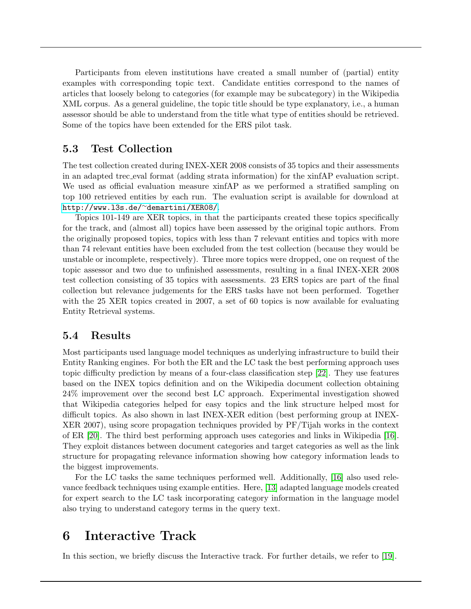Participants from eleven institutions have created a small number of (partial) entity examples with corresponding topic text. Candidate entities correspond to the names of articles that loosely belong to categories (for example may be subcategory) in the Wikipedia XML corpus. As a general guideline, the topic title should be type explanatory, i.e., a human assessor should be able to understand from the title what type of entities should be retrieved. Some of the topics have been extended for the ERS pilot task.

#### 5.3 Test Collection

The test collection created during INEX-XER 2008 consists of 35 topics and their assessments in an adapted trec eval format (adding strata information) for the xinfAP evaluation script. We used as official evaluation measure xinfAP as we performed a stratified sampling on top 100 retrieved entities by each run. The evaluation script is available for download at [http://www.l3s.de/](http://www.l3s.de/~demartini/XER08/)∼demartini/XER08/.

Topics 101-149 are XER topics, in that the participants created these topics specifically for the track, and (almost all) topics have been assessed by the original topic authors. From the originally proposed topics, topics with less than 7 relevant entities and topics with more than 74 relevant entities have been excluded from the test collection (because they would be unstable or incomplete, respectively). Three more topics were dropped, one on request of the topic assessor and two due to unfinished assessments, resulting in a final INEX-XER 2008 test collection consisting of 35 topics with assessments. 23 ERS topics are part of the final collection but relevance judgements for the ERS tasks have not been performed. Together with the 25 XER topics created in 2007, a set of 60 topics is now available for evaluating Entity Retrieval systems.

#### 5.4 Results

Most participants used language model techniques as underlying infrastructure to build their Entity Ranking engines. For both the ER and the LC task the best performing approach uses topic difficulty prediction by means of a four-class classification step [\[22\]](#page-19-5). They use features based on the INEX topics definition and on the Wikipedia document collection obtaining 24% improvement over the second best LC approach. Experimental investigation showed that Wikipedia categories helped for easy topics and the link structure helped most for difficult topics. As also shown in last INEX-XER edition (best performing group at INEX-XER 2007), using score propagation techniques provided by PF/Tijah works in the context of ER [\[20\]](#page-19-6). The third best performing approach uses categories and links in Wikipedia [\[16\]](#page-19-7). They exploit distances between document categories and target categories as well as the link structure for propagating relevance information showing how category information leads to the biggest improvements.

For the LC tasks the same techniques performed well. Additionally, [\[16\]](#page-19-7) also used relevance feedback techniques using example entities. Here, [\[13\]](#page-19-8) adapted language models created for expert search to the LC task incorporating category information in the language model also trying to understand category terms in the query text.

### <span id="page-10-0"></span>6 Interactive Track

In this section, we briefly discuss the Interactive track. For further details, we refer to [\[19\]](#page-19-9).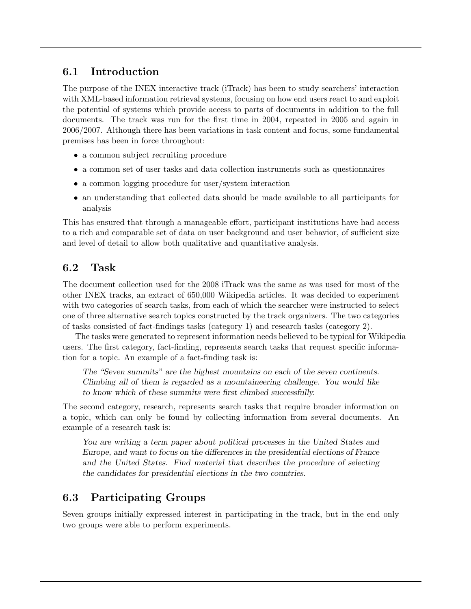### 6.1 Introduction

The purpose of the INEX interactive track (iTrack) has been to study searchers' interaction with XML-based information retrieval systems, focusing on how end users react to and exploit the potential of systems which provide access to parts of documents in addition to the full documents. The track was run for the first time in 2004, repeated in 2005 and again in 2006/2007. Although there has been variations in task content and focus, some fundamental premises has been in force throughout:

- a common subject recruiting procedure
- a common set of user tasks and data collection instruments such as questionnaires
- a common logging procedure for user/system interaction
- an understanding that collected data should be made available to all participants for analysis

This has ensured that through a manageable effort, participant institutions have had access to a rich and comparable set of data on user background and user behavior, of sufficient size and level of detail to allow both qualitative and quantitative analysis.

### 6.2 Task

The document collection used for the 2008 iTrack was the same as was used for most of the other INEX tracks, an extract of 650,000 Wikipedia articles. It was decided to experiment with two categories of search tasks, from each of which the searcher were instructed to select one of three alternative search topics constructed by the track organizers. The two categories of tasks consisted of fact-findings tasks (category 1) and research tasks (category 2).

The tasks were generated to represent information needs believed to be typical for Wikipedia users. The first category, fact-finding, represents search tasks that request specific information for a topic. An example of a fact-finding task is:

The "Seven summits" are the highest mountains on each of the seven continents. Climbing all of them is regarded as a mountaineering challenge. You would like to know which of these summits were first climbed successfully.

The second category, research, represents search tasks that require broader information on a topic, which can only be found by collecting information from several documents. An example of a research task is:

You are writing a term paper about political processes in the United States and Europe, and want to focus on the differences in the presidential elections of France and the United States. Find material that describes the procedure of selecting the candidates for presidential elections in the two countries.

### 6.3 Participating Groups

Seven groups initially expressed interest in participating in the track, but in the end only two groups were able to perform experiments.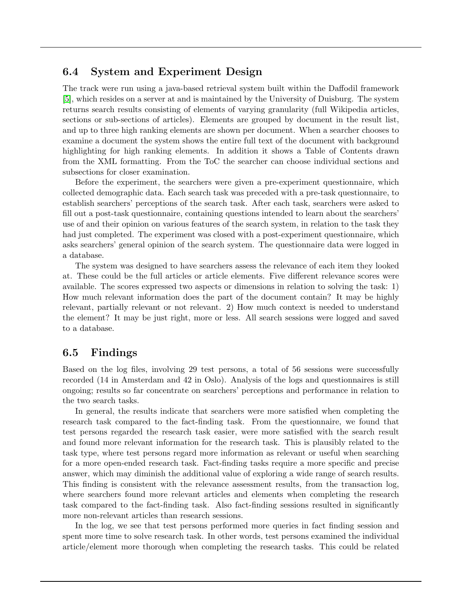#### 6.4 System and Experiment Design

The track were run using a java-based retrieval system built within the Daffodil framework [\[5\]](#page-18-4), which resides on a server at and is maintained by the University of Duisburg. The system returns search results consisting of elements of varying granularity (full Wikipedia articles, sections or sub-sections of articles). Elements are grouped by document in the result list, and up to three high ranking elements are shown per document. When a searcher chooses to examine a document the system shows the entire full text of the document with background highlighting for high ranking elements. In addition it shows a Table of Contents drawn from the XML formatting. From the ToC the searcher can choose individual sections and subsections for closer examination.

Before the experiment, the searchers were given a pre-experiment questionnaire, which collected demographic data. Each search task was preceded with a pre-task questionnaire, to establish searchers' perceptions of the search task. After each task, searchers were asked to fill out a post-task questionnaire, containing questions intended to learn about the searchers' use of and their opinion on various features of the search system, in relation to the task they had just completed. The experiment was closed with a post-experiment questionnaire, which asks searchers' general opinion of the search system. The questionnaire data were logged in a database.

The system was designed to have searchers assess the relevance of each item they looked at. These could be the full articles or article elements. Five different relevance scores were available. The scores expressed two aspects or dimensions in relation to solving the task: 1) How much relevant information does the part of the document contain? It may be highly relevant, partially relevant or not relevant. 2) How much context is needed to understand the element? It may be just right, more or less. All search sessions were logged and saved to a database.

### 6.5 Findings

Based on the log files, involving 29 test persons, a total of 56 sessions were successfully recorded (14 in Amsterdam and 42 in Oslo). Analysis of the logs and questionnaires is still ongoing; results so far concentrate on searchers' perceptions and performance in relation to the two search tasks.

In general, the results indicate that searchers were more satisfied when completing the research task compared to the fact-finding task. From the questionnaire, we found that test persons regarded the research task easier, were more satisfied with the search result and found more relevant information for the research task. This is plausibly related to the task type, where test persons regard more information as relevant or useful when searching for a more open-ended research task. Fact-finding tasks require a more specific and precise answer, which may diminish the additional value of exploring a wide range of search results. This finding is consistent with the relevance assessment results, from the transaction log, where searchers found more relevant articles and elements when completing the research task compared to the fact-finding task. Also fact-finding sessions resulted in significantly more non-relevant articles than research sessions.

In the log, we see that test persons performed more queries in fact finding session and spent more time to solve research task. In other words, test persons examined the individual article/element more thorough when completing the research tasks. This could be related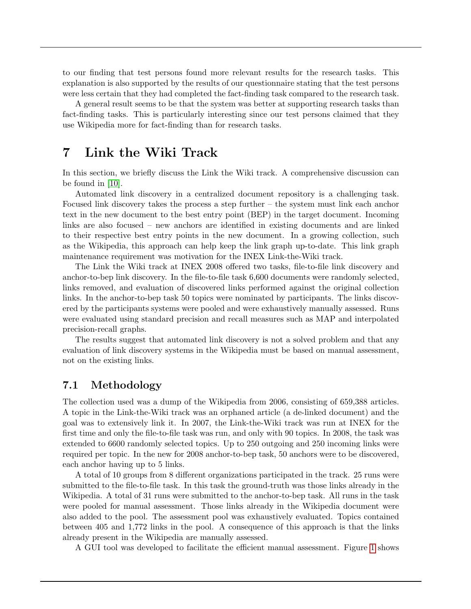to our finding that test persons found more relevant results for the research tasks. This explanation is also supported by the results of our questionnaire stating that the test persons were less certain that they had completed the fact-finding task compared to the research task.

A general result seems to be that the system was better at supporting research tasks than fact-finding tasks. This is particularly interesting since our test persons claimed that they use Wikipedia more for fact-finding than for research tasks.

### <span id="page-13-0"></span>7 Link the Wiki Track

In this section, we briefly discuss the Link the Wiki track. A comprehensive discussion can be found in [\[10\]](#page-18-5).

Automated link discovery in a centralized document repository is a challenging task. Focused link discovery takes the process a step further – the system must link each anchor text in the new document to the best entry point (BEP) in the target document. Incoming links are also focused – new anchors are identified in existing documents and are linked to their respective best entry points in the new document. In a growing collection, such as the Wikipedia, this approach can help keep the link graph up-to-date. This link graph maintenance requirement was motivation for the INEX Link-the-Wiki track.

The Link the Wiki track at INEX 2008 offered two tasks, file-to-file link discovery and anchor-to-bep link discovery. In the file-to-file task 6,600 documents were randomly selected, links removed, and evaluation of discovered links performed against the original collection links. In the anchor-to-bep task 50 topics were nominated by participants. The links discovered by the participants systems were pooled and were exhaustively manually assessed. Runs were evaluated using standard precision and recall measures such as MAP and interpolated precision-recall graphs.

The results suggest that automated link discovery is not a solved problem and that any evaluation of link discovery systems in the Wikipedia must be based on manual assessment, not on the existing links.

#### 7.1 Methodology

The collection used was a dump of the Wikipedia from 2006, consisting of 659,388 articles. A topic in the Link-the-Wiki track was an orphaned article (a de-linked document) and the goal was to extensively link it. In 2007, the Link-the-Wiki track was run at INEX for the first time and only the file-to-file task was run, and only with 90 topics. In 2008, the task was extended to 6600 randomly selected topics. Up to 250 outgoing and 250 incoming links were required per topic. In the new for 2008 anchor-to-bep task, 50 anchors were to be discovered, each anchor having up to 5 links.

A total of 10 groups from 8 different organizations participated in the track. 25 runs were submitted to the file-to-file task. In this task the ground-truth was those links already in the Wikipedia. A total of 31 runs were submitted to the anchor-to-bep task. All runs in the task were pooled for manual assessment. Those links already in the Wikipedia document were also added to the pool. The assessment pool was exhaustively evaluated. Topics contained between 405 and 1,772 links in the pool. A consequence of this approach is that the links already present in the Wikipedia are manually assessed.

A GUI tool was developed to facilitate the efficient manual assessment. Figure [1](#page-14-0) shows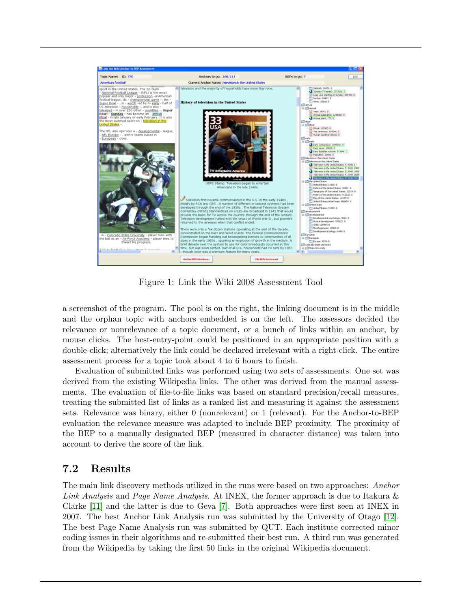

Figure 1: Link the Wiki 2008 Assessment Tool

<span id="page-14-0"></span>a screenshot of the program. The pool is on the right, the linking document is in the middle and the orphan topic with anchors embedded is on the left. The assessors decided the relevance or nonrelevance of a topic document, or a bunch of links within an anchor, by mouse clicks. The best-entry-point could be positioned in an appropriate position with a double-click; alternatively the link could be declared irrelevant with a right-click. The entire assessment process for a topic took about 4 to 6 hours to finish.

Evaluation of submitted links was performed using two sets of assessments. One set was derived from the existing Wikipedia links. The other was derived from the manual assessments. The evaluation of file-to-file links was based on standard precision/recall measures, treating the submitted list of links as a ranked list and measuring it against the assessment sets. Relevance was binary, either 0 (nonrelevant) or 1 (relevant). For the Anchor-to-BEP evaluation the relevance measure was adapted to include BEP proximity. The proximity of the BEP to a manually designated BEP (measured in character distance) was taken into account to derive the score of the link.

### 7.2 Results

The main link discovery methods utilized in the runs were based on two approaches: Anchor Link Analysis and Page Name Analysis. At INEX, the former approach is due to Itakura & Clarke [\[11\]](#page-18-6) and the latter is due to Geva [\[7\]](#page-18-7). Both approaches were first seen at INEX in 2007. The best Anchor Link Analysis run was submitted by the University of Otago [\[12\]](#page-19-10). The best Page Name Analysis run was submitted by QUT. Each institute corrected minor coding issues in their algorithms and re-submitted their best run. A third run was generated from the Wikipedia by taking the first 50 links in the original Wikipedia document.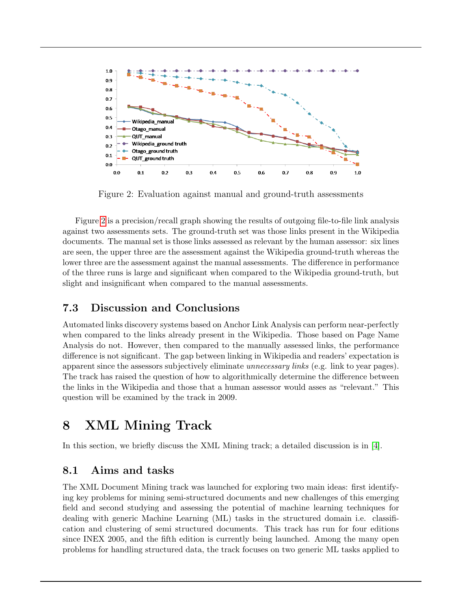

<span id="page-15-1"></span>Figure 2: Evaluation against manual and ground-truth assessments

Figure [2](#page-15-1) is a precision/recall graph showing the results of outgoing file-to-file link analysis against two assessments sets. The ground-truth set was those links present in the Wikipedia documents. The manual set is those links assessed as relevant by the human assessor: six lines are seen, the upper three are the assessment against the Wikipedia ground-truth whereas the lower three are the assessment against the manual assessments. The difference in performance of the three runs is large and significant when compared to the Wikipedia ground-truth, but slight and insignificant when compared to the manual assessments.

### 7.3 Discussion and Conclusions

Automated links discovery systems based on Anchor Link Analysis can perform near-perfectly when compared to the links already present in the Wikipedia. Those based on Page Name Analysis do not. However, then compared to the manually assessed links, the performance difference is not significant. The gap between linking in Wikipedia and readers' expectation is apparent since the assessors subjectively eliminate *unnecessary links* (e.g. link to year pages). The track has raised the question of how to algorithmically determine the difference between the links in the Wikipedia and those that a human assessor would asses as "relevant." This question will be examined by the track in 2009.

## <span id="page-15-0"></span>8 XML Mining Track

In this section, we briefly discuss the XML Mining track; a detailed discussion is in [\[4\]](#page-18-8).

### 8.1 Aims and tasks

The XML Document Mining track was launched for exploring two main ideas: first identifying key problems for mining semi-structured documents and new challenges of this emerging field and second studying and assessing the potential of machine learning techniques for dealing with generic Machine Learning (ML) tasks in the structured domain i.e. classification and clustering of semi structured documents. This track has run for four editions since INEX 2005, and the fifth edition is currently being launched. Among the many open problems for handling structured data, the track focuses on two generic ML tasks applied to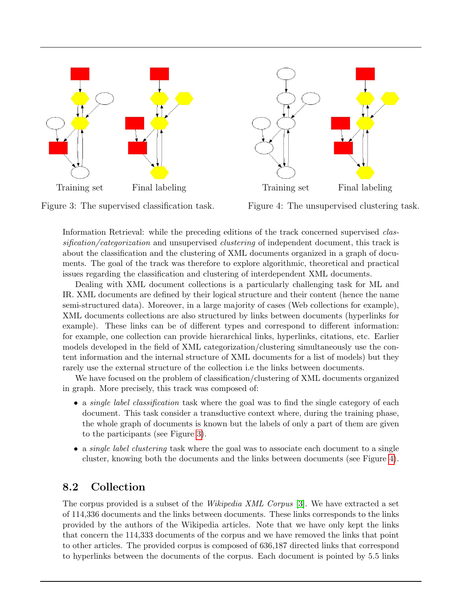

Figure 3: The supervised classification task.

<span id="page-16-1"></span>Figure 4: The unsupervised clustering task.

<span id="page-16-0"></span>Information Retrieval: while the preceding editions of the track concerned supervised classification/categorization and unsupervised clustering of independent document, this track is about the classification and the clustering of XML documents organized in a graph of documents. The goal of the track was therefore to explore algorithmic, theoretical and practical issues regarding the classification and clustering of interdependent XML documents.

Dealing with XML document collections is a particularly challenging task for ML and IR. XML documents are defined by their logical structure and their content (hence the name semi-structured data). Moreover, in a large majority of cases (Web collections for example), XML documents collections are also structured by links between documents (hyperlinks for example). These links can be of different types and correspond to different information: for example, one collection can provide hierarchical links, hyperlinks, citations, etc. Earlier models developed in the field of XML categorization/clustering simultaneously use the content information and the internal structure of XML documents for a list of models) but they rarely use the external structure of the collection i.e the links between documents.

We have focused on the problem of classification/clustering of XML documents organized in graph. More precisely, this track was composed of:

- a *single label classification* task where the goal was to find the single category of each document. This task consider a transductive context where, during the training phase, the whole graph of documents is known but the labels of only a part of them are given to the participants (see Figure [3\)](#page-16-0).
- a *single label clustering* task where the goal was to associate each document to a single cluster, knowing both the documents and the links between documents (see Figure [4\)](#page-16-1).

### 8.2 Collection

The corpus provided is a subset of the Wikipedia XML Corpus [\[3\]](#page-18-0). We have extracted a set of 114,336 documents and the links between documents. These links corresponds to the links provided by the authors of the Wikipedia articles. Note that we have only kept the links that concern the 114,333 documents of the corpus and we have removed the links that point to other articles. The provided corpus is composed of 636,187 directed links that correspond to hyperlinks between the documents of the corpus. Each document is pointed by 5.5 links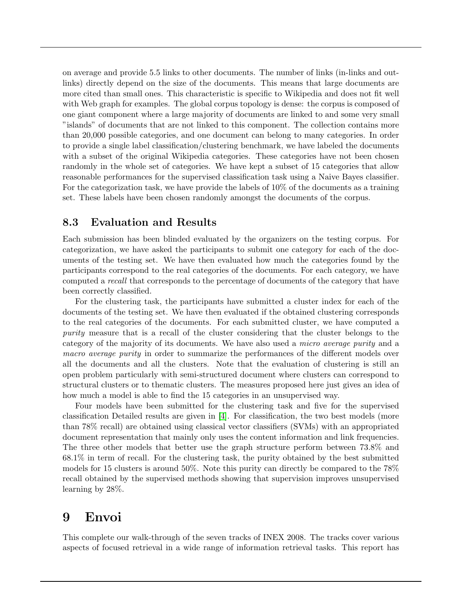on average and provide 5.5 links to other documents. The number of links (in-links and outlinks) directly depend on the size of the documents. This means that large documents are more cited than small ones. This characteristic is specific to Wikipedia and does not fit well with Web graph for examples. The global corpus topology is dense: the corpus is composed of one giant component where a large majority of documents are linked to and some very small "islands" of documents that are not linked to this component. The collection contains more than 20,000 possible categories, and one document can belong to many categories. In order to provide a single label classification/clustering benchmark, we have labeled the documents with a subset of the original Wikipedia categories. These categories have not been chosen randomly in the whole set of categories. We have kept a subset of 15 categories that allow reasonable performances for the supervised classification task using a Naive Bayes classifier. For the categorization task, we have provide the labels of 10% of the documents as a training set. These labels have been chosen randomly amongst the documents of the corpus.

#### 8.3 Evaluation and Results

Each submission has been blinded evaluated by the organizers on the testing corpus. For categorization, we have asked the participants to submit one category for each of the documents of the testing set. We have then evaluated how much the categories found by the participants correspond to the real categories of the documents. For each category, we have computed a recall that corresponds to the percentage of documents of the category that have been correctly classified.

For the clustering task, the participants have submitted a cluster index for each of the documents of the testing set. We have then evaluated if the obtained clustering corresponds to the real categories of the documents. For each submitted cluster, we have computed a purity measure that is a recall of the cluster considering that the cluster belongs to the category of the majority of its documents. We have also used a micro average purity and a macro average purity in order to summarize the performances of the different models over all the documents and all the clusters. Note that the evaluation of clustering is still an open problem particularly with semi-structured document where clusters can correspond to structural clusters or to thematic clusters. The measures proposed here just gives an idea of how much a model is able to find the 15 categories in an unsupervised way.

Four models have been submitted for the clustering task and five for the supervised classification Detailed results are given in [\[4\]](#page-18-8). For classification, the two best models (more than 78% recall) are obtained using classical vector classifiers (SVMs) with an appropriated document representation that mainly only uses the content information and link frequencies. The three other models that better use the graph structure perform between 73.8% and 68.1% in term of recall. For the clustering task, the purity obtained by the best submitted models for 15 clusters is around 50%. Note this purity can directly be compared to the 78% recall obtained by the supervised methods showing that supervision improves unsupervised learning by 28%.

### 9 Envoi

This complete our walk-through of the seven tracks of INEX 2008. The tracks cover various aspects of focused retrieval in a wide range of information retrieval tasks. This report has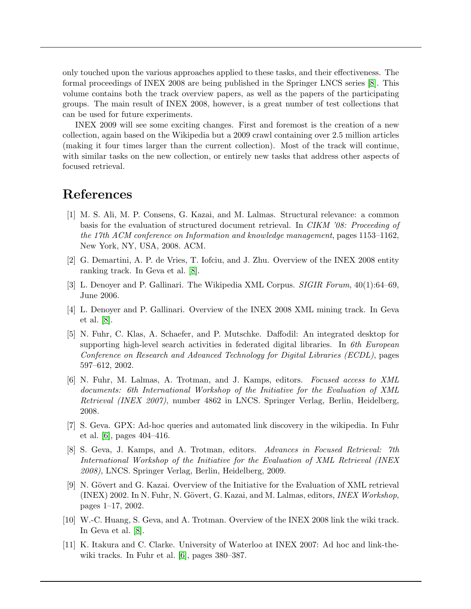only touched upon the various approaches applied to these tasks, and their effectiveness. The formal proceedings of INEX 2008 are being published in the Springer LNCS series [\[8\]](#page-18-9). This volume contains both the track overview papers, as well as the papers of the participating groups. The main result of INEX 2008, however, is a great number of test collections that can be used for future experiments.

INEX 2009 will see some exciting changes. First and foremost is the creation of a new collection, again based on the Wikipedia but a 2009 crawl containing over 2.5 million articles (making it four times larger than the current collection). Most of the track will continue, with similar tasks on the new collection, or entirely new tasks that address other aspects of focused retrieval.

## References

- <span id="page-18-1"></span>[1] M. S. Ali, M. P. Consens, G. Kazai, and M. Lalmas. Structural relevance: a common basis for the evaluation of structured document retrieval. In CIKM '08: Proceeding of the 17th ACM conference on Information and knowledge management, pages 1153–1162, New York, NY, USA, 2008. ACM.
- <span id="page-18-3"></span>[2] G. Demartini, A. P. de Vries, T. Iofciu, and J. Zhu. Overview of the INEX 2008 entity ranking track. In Geva et al. [\[8\]](#page-18-9).
- <span id="page-18-0"></span>[3] L. Denoyer and P. Gallinari. The Wikipedia XML Corpus. SIGIR Forum, 40(1):64–69, June 2006.
- <span id="page-18-8"></span>[4] L. Denoyer and P. Gallinari. Overview of the INEX 2008 XML mining track. In Geva et al. [\[8\]](#page-18-9).
- <span id="page-18-4"></span>[5] N. Fuhr, C. Klas, A. Schaefer, and P. Mutschke. Daffodil: An integrated desktop for supporting high-level search activities in federated digital libraries. In  $6th$  European Conference on Research and Advanced Technology for Digital Libraries (ECDL), pages 597–612, 2002.
- <span id="page-18-10"></span>[6] N. Fuhr, M. Lalmas, A. Trotman, and J. Kamps, editors. Focused access to XML documents: 6th International Workshop of the Initiative for the Evaluation of XML Retrieval (INEX 2007), number 4862 in LNCS. Springer Verlag, Berlin, Heidelberg, 2008.
- <span id="page-18-7"></span>[7] S. Geva. GPX: Ad-hoc queries and automated link discovery in the wikipedia. In Fuhr et al. [\[6\]](#page-18-10), pages 404–416.
- <span id="page-18-9"></span>[8] S. Geva, J. Kamps, and A. Trotman, editors. Advances in Focused Retrieval: 7th International Workshop of the Initiative for the Evaluation of XML Retrieval (INEX 2008), LNCS. Springer Verlag, Berlin, Heidelberg, 2009.
- <span id="page-18-2"></span>[9] N. Gövert and G. Kazai. Overview of the Initiative for the Evaluation of XML retrieval  $($ INEX) 2002. In N. Fuhr, N. Gövert, G. Kazai, and M. Lalmas, editors, *INEX Workshop*,pages 1–17, 2002.
- <span id="page-18-5"></span>[10] W.-C. Huang, S. Geva, and A. Trotman. Overview of the INEX 2008 link the wiki track. In Geva et al. [\[8\]](#page-18-9).
- <span id="page-18-6"></span>[11] K. Itakura and C. Clarke. University of Waterloo at INEX 2007: Ad hoc and link-thewiki tracks. In Fuhr et al. [\[6\]](#page-18-10), pages 380–387.